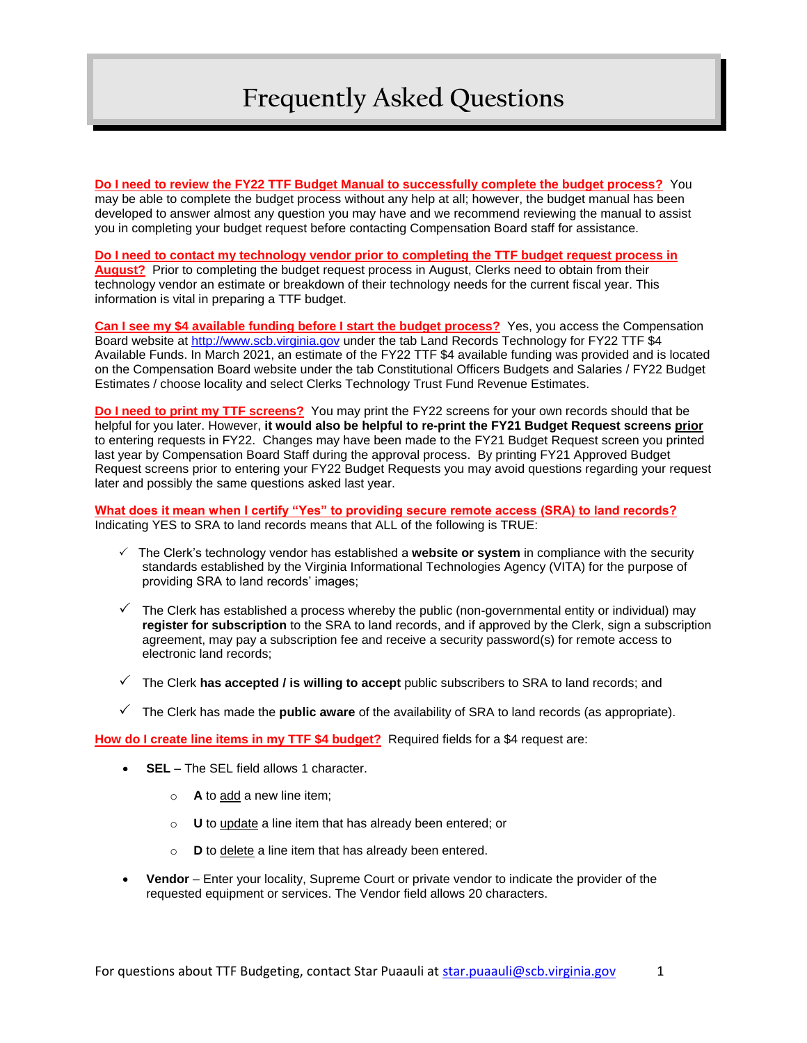**Do I need to review the FY22 TTF Budget Manual to successfully complete the budget process?** You may be able to complete the budget process without any help at all; however, the budget manual has been developed to answer almost any question you may have and we recommend reviewing the manual to assist you in completing your budget request before contacting Compensation Board staff for assistance.

#### **Do I need to contact my technology vendor prior to completing the TTF budget request process in August?** Prior to completing the budget request process in August, Clerks need to obtain from their technology vendor an estimate or breakdown of their technology needs for the current fiscal year. This information is vital in preparing a TTF budget.

**Can I see my \$4 available funding before I start the budget process?** Yes, you access the Compensation Board website at [http://www.scb.virginia.gov](http://www.scb.virginia.gov/) under the tab Land Records Technology for FY22 TTF \$4 Available Funds. In March 2021, an estimate of the FY22 TTF \$4 available funding was provided and is located on the Compensation Board website under the tab Constitutional Officers Budgets and Salaries / FY22 Budget Estimates / choose locality and select Clerks Technology Trust Fund Revenue Estimates.

**Do I need to print my TTF screens?** You may print the FY22 screens for your own records should that be helpful for you later. However, **it would also be helpful to re-print the FY21 Budget Request screens prior** to entering requests in FY22. Changes may have been made to the FY21 Budget Request screen you printed last year by Compensation Board Staff during the approval process. By printing FY21 Approved Budget Request screens prior to entering your FY22 Budget Requests you may avoid questions regarding your request later and possibly the same questions asked last year.

**What does it mean when I certify "Yes" to providing secure remote access (SRA) to land records?** Indicating YES to SRA to land records means that ALL of the following is TRUE:

- The Clerk's technology vendor has established a **website or system** in compliance with the security standards established by the Virginia Informational Technologies Agency (VITA) for the purpose of providing SRA to land records' images;
- $\checkmark$  The Clerk has established a process whereby the public (non-governmental entity or individual) may **register for subscription** to the SRA to land records, and if approved by the Clerk, sign a subscription agreement, may pay a subscription fee and receive a security password(s) for remote access to electronic land records;
- The Clerk **has accepted / is willing to accept** public subscribers to SRA to land records; and
- The Clerk has made the **public aware** of the availability of SRA to land records (as appropriate).

**How do I create line items in my TTF \$4 budget?** Required fields for a \$4 request are:

- **SEL** The SEL field allows 1 character.
	- o **A** to add a new line item;
	- o **U** to update a line item that has already been entered; or
	- o **D** to delete a line item that has already been entered.
- **Vendor**  Enter your locality, Supreme Court or private vendor to indicate the provider of the requested equipment or services. The Vendor field allows 20 characters.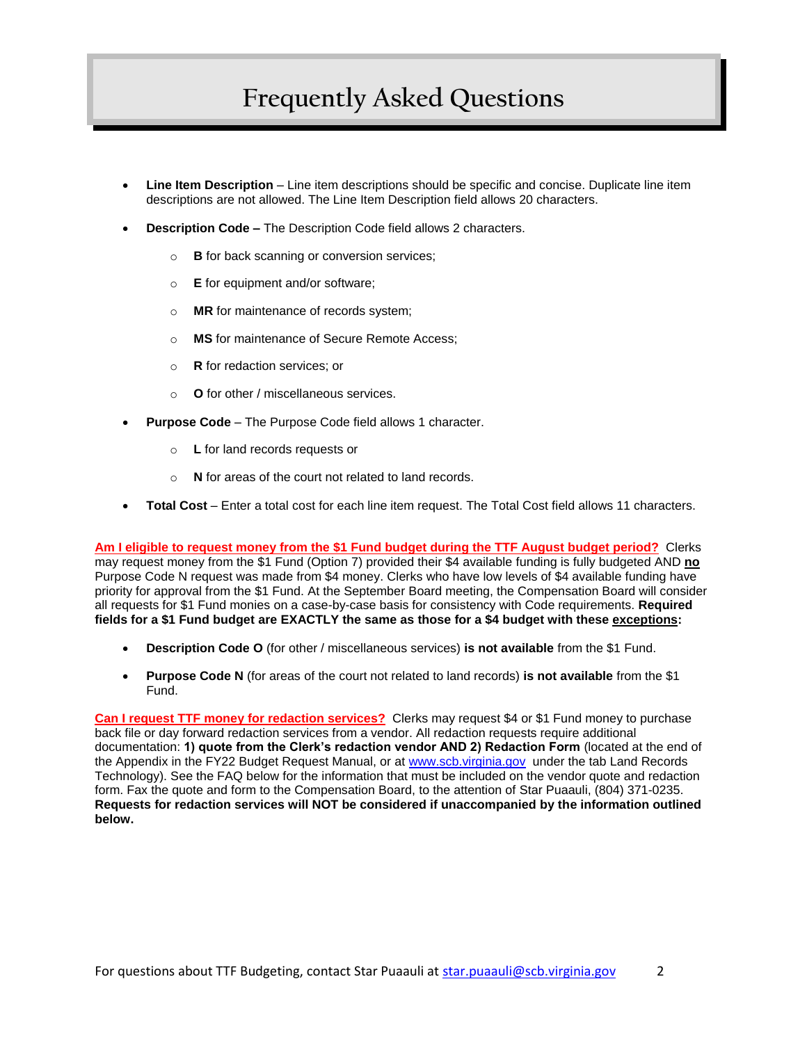- **Line Item Description** Line item descriptions should be specific and concise. Duplicate line item descriptions are not allowed. The Line Item Description field allows 20 characters.
- **Description Code –** The Description Code field allows 2 characters.
	- o **B** for back scanning or conversion services;
	- o **E** for equipment and/or software;
	- o **MR** for maintenance of records system;
	- o **MS** for maintenance of Secure Remote Access;
	- o **R** for redaction services; or
	- o **O** for other / miscellaneous services.
- **Purpose Code** The Purpose Code field allows 1 character.
	- o **L** for land records requests or
	- o **N** for areas of the court not related to land records.
- **Total Cost** Enter a total cost for each line item request. The Total Cost field allows 11 characters.

**Am I eligible to request money from the \$1 Fund budget during the TTF August budget period?** Clerks may request money from the \$1 Fund (Option 7) provided their \$4 available funding is fully budgeted AND **no** Purpose Code N request was made from \$4 money. Clerks who have low levels of \$4 available funding have priority for approval from the \$1 Fund. At the September Board meeting, the Compensation Board will consider all requests for \$1 Fund monies on a case-by-case basis for consistency with Code requirements. **Required fields for a \$1 Fund budget are EXACTLY the same as those for a \$4 budget with these exceptions:** 

- **Description Code O** (for other / miscellaneous services) **is not available** from the \$1 Fund.
- **Purpose Code N** (for areas of the court not related to land records) **is not available** from the \$1 Fund.

**Can I request TTF money for redaction services?** Clerks may request \$4 or \$1 Fund money to purchase back file or day forward redaction services from a vendor. All redaction requests require additional documentation: **1) quote from the Clerk's redaction vendor AND 2) Redaction Form** (located at the end of the Appendix in the FY22 Budget Request Manual, or at [www.scb.virginia.gov](http://www.scb.virginia.gov/) under the tab Land Records Technology). See the FAQ below for the information that must be included on the vendor quote and redaction form. Fax the quote and form to the Compensation Board, to the attention of Star Puaauli, (804) 371-0235. **Requests for redaction services will NOT be considered if unaccompanied by the information outlined below.**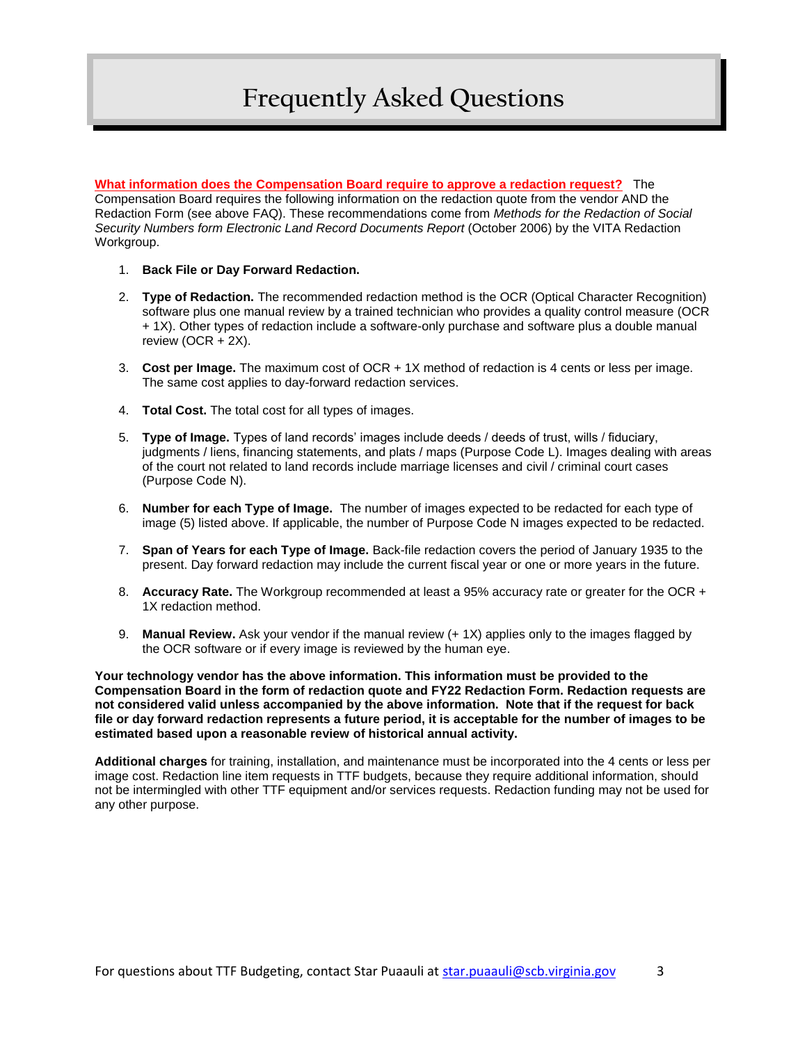**What information does the Compensation Board require to approve a redaction request?** The Compensation Board requires the following information on the redaction quote from the vendor AND the Redaction Form (see above FAQ). These recommendations come from *Methods for the Redaction of Social Security Numbers form Electronic Land Record Documents Report* (October 2006) by the VITA Redaction Workgroup.

- 1. **Back File or Day Forward Redaction.**
- 2. **Type of Redaction.** The recommended redaction method is the OCR (Optical Character Recognition) software plus one manual review by a trained technician who provides a quality control measure (OCR + 1X). Other types of redaction include a software-only purchase and software plus a double manual review (OCR + 2X).
- 3. **Cost per Image.** The maximum cost of OCR + 1X method of redaction is 4 cents or less per image. The same cost applies to day-forward redaction services.
- 4. **Total Cost.** The total cost for all types of images.
- 5. **Type of Image.** Types of land records' images include deeds / deeds of trust, wills / fiduciary, judgments / liens, financing statements, and plats / maps (Purpose Code L). Images dealing with areas of the court not related to land records include marriage licenses and civil / criminal court cases (Purpose Code N).
- 6. **Number for each Type of Image.** The number of images expected to be redacted for each type of image (5) listed above. If applicable, the number of Purpose Code N images expected to be redacted.
- 7. **Span of Years for each Type of Image.** Back-file redaction covers the period of January 1935 to the present. Day forward redaction may include the current fiscal year or one or more years in the future.
- 8. **Accuracy Rate.** The Workgroup recommended at least a 95% accuracy rate or greater for the OCR + 1X redaction method.
- 9. **Manual Review.** Ask your vendor if the manual review (+ 1X) applies only to the images flagged by the OCR software or if every image is reviewed by the human eye.

**Your technology vendor has the above information. This information must be provided to the Compensation Board in the form of redaction quote and FY22 Redaction Form. Redaction requests are not considered valid unless accompanied by the above information. Note that if the request for back file or day forward redaction represents a future period, it is acceptable for the number of images to be estimated based upon a reasonable review of historical annual activity.**

**Additional charges** for training, installation, and maintenance must be incorporated into the 4 cents or less per image cost. Redaction line item requests in TTF budgets, because they require additional information, should not be intermingled with other TTF equipment and/or services requests. Redaction funding may not be used for any other purpose.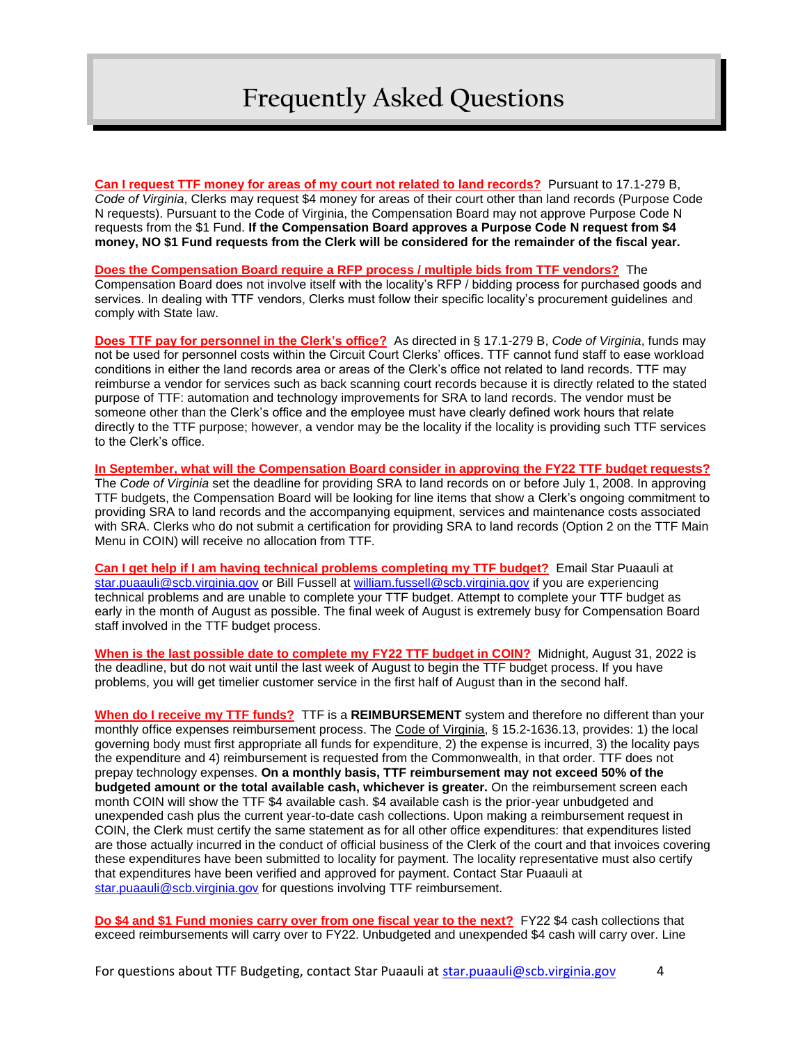**Can I request TTF money for areas of my court not related to land records?** Pursuant to 17.1-279 B, *Code of Virginia*, Clerks may request \$4 money for areas of their court other than land records (Purpose Code N requests). Pursuant to the Code of Virginia, the Compensation Board may not approve Purpose Code N requests from the \$1 Fund. **If the Compensation Board approves a Purpose Code N request from \$4 money, NO \$1 Fund requests from the Clerk will be considered for the remainder of the fiscal year.**

**Does the Compensation Board require a RFP process / multiple bids from TTF vendors?** The Compensation Board does not involve itself with the locality's RFP / bidding process for purchased goods and services. In dealing with TTF vendors, Clerks must follow their specific locality's procurement guidelines and comply with State law.

**Does TTF pay for personnel in the Clerk's office?** As directed in § 17.1-279 B, *Code of Virginia*, funds may not be used for personnel costs within the Circuit Court Clerks' offices. TTF cannot fund staff to ease workload conditions in either the land records area or areas of the Clerk's office not related to land records. TTF may reimburse a vendor for services such as back scanning court records because it is directly related to the stated purpose of TTF: automation and technology improvements for SRA to land records. The vendor must be someone other than the Clerk's office and the employee must have clearly defined work hours that relate directly to the TTF purpose; however, a vendor may be the locality if the locality is providing such TTF services to the Clerk's office.

**In September, what will the Compensation Board consider in approving the FY22 TTF budget requests?** The *Code of Virginia* set the deadline for providing SRA to land records on or before July 1, 2008. In approving TTF budgets, the Compensation Board will be looking for line items that show a Clerk's ongoing commitment to providing SRA to land records and the accompanying equipment, services and maintenance costs associated with SRA. Clerks who do not submit a certification for providing SRA to land records (Option 2 on the TTF Main Menu in COIN) will receive no allocation from TTF.

**Can I get help if I am having technical problems completing my TTF budget?** Email Star Puaauli at [star.puaauli@scb.virginia.gov](mailto:star.puaauli@scb.virginia.gov) or Bill Fussell a[t william.fussell@scb.virginia.gov](mailto:william.fussell@scb.virginia.gov) if you are experiencing technical problems and are unable to complete your TTF budget. Attempt to complete your TTF budget as early in the month of August as possible. The final week of August is extremely busy for Compensation Board staff involved in the TTF budget process.

**When is the last possible date to complete my FY22 TTF budget in COIN?** Midnight, August 31, 2022 is the deadline, but do not wait until the last week of August to begin the TTF budget process. If you have problems, you will get timelier customer service in the first half of August than in the second half.

**When do I receive my TTF funds?** TTF is a **REIMBURSEMENT** system and therefore no different than your monthly office expenses reimbursement process. The Code of Virginia, § 15.2-1636.13, provides: 1) the local governing body must first appropriate all funds for expenditure, 2) the expense is incurred, 3) the locality pays the expenditure and 4) reimbursement is requested from the Commonwealth, in that order. TTF does not prepay technology expenses. **On a monthly basis, TTF reimbursement may not exceed 50% of the budgeted amount or the total available cash, whichever is greater.** On the reimbursement screen each month COIN will show the TTF \$4 available cash. \$4 available cash is the prior-year unbudgeted and unexpended cash plus the current year-to-date cash collections. Upon making a reimbursement request in COIN, the Clerk must certify the same statement as for all other office expenditures: that expenditures listed are those actually incurred in the conduct of official business of the Clerk of the court and that invoices covering these expenditures have been submitted to locality for payment. The locality representative must also certify that expenditures have been verified and approved for payment. Contact Star Puaauli at [star.puaauli@scb.virginia.gov](mailto:star.puaauli@scb.virginia.gov) for questions involving TTF reimbursement.

**Do \$4 and \$1 Fund monies carry over from one fiscal year to the next?** FY22 \$4 cash collections that exceed reimbursements will carry over to FY22. Unbudgeted and unexpended \$4 cash will carry over. Line